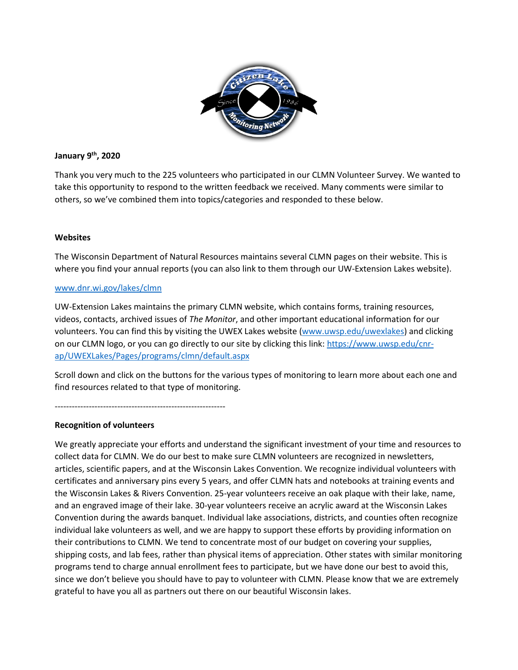

### **January 9th, 2020**

Thank you very much to the 225 volunteers who participated in our CLMN Volunteer Survey. We wanted to take this opportunity to respond to the written feedback we received. Many comments were similar to others, so we've combined them into topics/categories and responded to these below.

### **Websites**

The Wisconsin Department of Natural Resources maintains several CLMN pages on their website. This is where you find your annual reports (you can also link to them through our UW-Extension Lakes website).

#### [www.dnr.wi.gov/lakes/clmn](http://www.dnr.wi.gov/lakes/clmn)

UW-Extension Lakes maintains the primary CLMN website, which contains forms, training resources, videos, contacts, archived issues of *The Monitor*, and other important educational information for our volunteers. You can find this by visiting the UWEX Lakes website [\(www.uwsp.edu/uwexlakes\)](http://www.uwsp.edu/uwexlakes) and clicking on our CLMN logo, or you can go directly to our site by clicking this link[: https://www.uwsp.edu/cnr](https://www.uwsp.edu/cnr-ap/UWEXLakes/Pages/programs/clmn/default.aspx)[ap/UWEXLakes/Pages/programs/clmn/default.aspx](https://www.uwsp.edu/cnr-ap/UWEXLakes/Pages/programs/clmn/default.aspx)

Scroll down and click on the buttons for the various types of monitoring to learn more about each one and find resources related to that type of monitoring.

------------------------------------------------------------

### **Recognition of volunteers**

We greatly appreciate your efforts and understand the significant investment of your time and resources to collect data for CLMN. We do our best to make sure CLMN volunteers are recognized in newsletters, articles, scientific papers, and at the Wisconsin Lakes Convention. We recognize individual volunteers with certificates and anniversary pins every 5 years, and offer CLMN hats and notebooks at training events and the Wisconsin Lakes & Rivers Convention. 25-year volunteers receive an oak plaque with their lake, name, and an engraved image of their lake. 30-year volunteers receive an acrylic award at the Wisconsin Lakes Convention during the awards banquet. Individual lake associations, districts, and counties often recognize individual lake volunteers as well, and we are happy to support these efforts by providing information on their contributions to CLMN. We tend to concentrate most of our budget on covering your supplies, shipping costs, and lab fees, rather than physical items of appreciation. Other states with similar monitoring programs tend to charge annual enrollment fees to participate, but we have done our best to avoid this, since we don't believe you should have to pay to volunteer with CLMN. Please know that we are extremely grateful to have you all as partners out there on our beautiful Wisconsin lakes.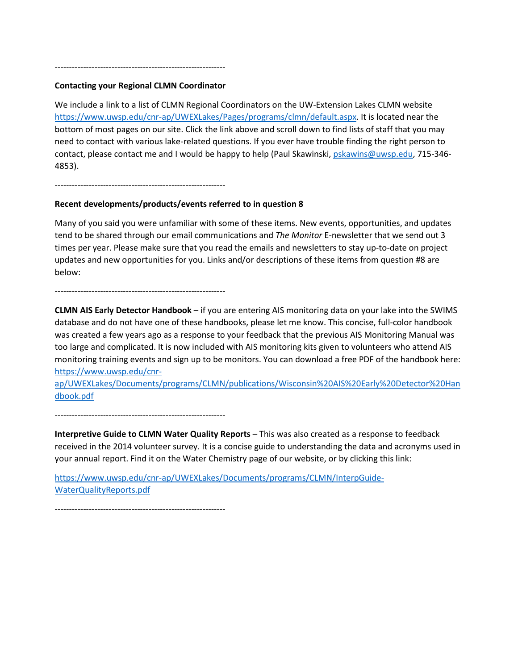# ------------------------------------------------------------ **Contacting your Regional CLMN Coordinator**

We include a link to a list of CLMN Regional Coordinators on the UW-Extension Lakes CLMN website [https://www.uwsp.edu/cnr-ap/UWEXLakes/Pages/programs/clmn/default.aspx.](https://www.uwsp.edu/cnr-ap/UWEXLakes/Pages/programs/clmn/default.aspx) It is located near the bottom of most pages on our site. Click the link above and scroll down to find lists of staff that you may need to contact with various lake-related questions. If you ever have trouble finding the right person to contact, please contact me and I would be happy to help (Paul Skawinski, [pskawins@uwsp.edu,](mailto:pskawins@uwsp.edu) 715-346-4853).

------------------------------------------------------------

### **Recent developments/products/events referred to in question 8**

Many of you said you were unfamiliar with some of these items. New events, opportunities, and updates tend to be shared through our email communications and *The Monitor* E-newsletter that we send out 3 times per year. Please make sure that you read the emails and newsletters to stay up-to-date on project updates and new opportunities for you. Links and/or descriptions of these items from question #8 are below:

#### ------------------------------------------------------------

**CLMN AIS Early Detector Handbook** – if you are entering AIS monitoring data on your lake into the SWIMS database and do not have one of these handbooks, please let me know. This concise, full-color handbook was created a few years ago as a response to your feedback that the previous AIS Monitoring Manual was too large and complicated. It is now included with AIS monitoring kits given to volunteers who attend AIS monitoring training events and sign up to be monitors. You can download a free PDF of the handbook here: [https://www.uwsp.edu/cnr-](https://www.uwsp.edu/cnr-ap/UWEXLakes/Documents/programs/CLMN/publications/Wisconsin%20AIS%20Early%20Detector%20Handbook.pdf)

[ap/UWEXLakes/Documents/programs/CLMN/publications/Wisconsin%20AIS%20Early%20Detector%20Han](https://www.uwsp.edu/cnr-ap/UWEXLakes/Documents/programs/CLMN/publications/Wisconsin%20AIS%20Early%20Detector%20Handbook.pdf) [dbook.pdf](https://www.uwsp.edu/cnr-ap/UWEXLakes/Documents/programs/CLMN/publications/Wisconsin%20AIS%20Early%20Detector%20Handbook.pdf)

------------------------------------------------------------

**Interpretive Guide to CLMN Water Quality Reports** – This was also created as a response to feedback received in the 2014 volunteer survey. It is a concise guide to understanding the data and acronyms used in your annual report. Find it on the Water Chemistry page of our website, or by clicking this link:

[https://www.uwsp.edu/cnr-ap/UWEXLakes/Documents/programs/CLMN/InterpGuide-](https://www.uwsp.edu/cnr-ap/UWEXLakes/Documents/programs/CLMN/InterpGuide-WaterQualityReports.pdf)[WaterQualityReports.pdf](https://www.uwsp.edu/cnr-ap/UWEXLakes/Documents/programs/CLMN/InterpGuide-WaterQualityReports.pdf)

------------------------------------------------------------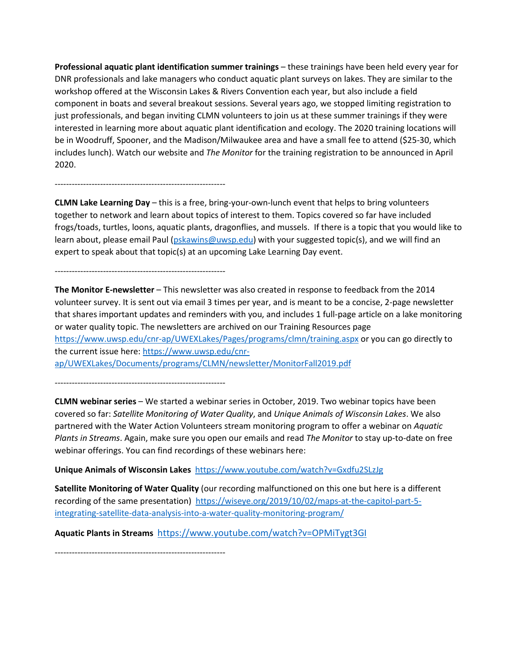**Professional aquatic plant identification summer trainings** – these trainings have been held every year for DNR professionals and lake managers who conduct aquatic plant surveys on lakes. They are similar to the workshop offered at the Wisconsin Lakes & Rivers Convention each year, but also include a field component in boats and several breakout sessions. Several years ago, we stopped limiting registration to just professionals, and began inviting CLMN volunteers to join us at these summer trainings if they were interested in learning more about aquatic plant identification and ecology. The 2020 training locations will be in Woodruff, Spooner, and the Madison/Milwaukee area and have a small fee to attend (\$25-30, which includes lunch). Watch our website and *The Monitor* for the training registration to be announced in April 2020.

------------------------------------------------------------

**CLMN Lake Learning Day** – this is a free, bring-your-own-lunch event that helps to bring volunteers together to network and learn about topics of interest to them. Topics covered so far have included frogs/toads, turtles, loons, aquatic plants, dragonflies, and mussels. If there is a topic that you would like to learn about, please email Paul [\(pskawins@uwsp.edu\)](mailto:pskawins@uwsp.edu) with your suggested topic(s), and we will find an expert to speak about that topic(s) at an upcoming Lake Learning Day event.

------------------------------------------------------------

**The Monitor E-newsletter** – This newsletter was also created in response to feedback from the 2014 volunteer survey. It is sent out via email 3 times per year, and is meant to be a concise, 2-page newsletter that shares important updates and reminders with you, and includes 1 full-page article on a lake monitoring or water quality topic. The newsletters are archived on our Training Resources page <https://www.uwsp.edu/cnr-ap/UWEXLakes/Pages/programs/clmn/training.aspx> or you can go directly to the current issue here[: https://www.uwsp.edu/cnr](https://www.uwsp.edu/cnr-ap/UWEXLakes/Documents/programs/CLMN/newsletter/MonitorFall2019.pdf)[ap/UWEXLakes/Documents/programs/CLMN/newsletter/MonitorFall2019.pdf](https://www.uwsp.edu/cnr-ap/UWEXLakes/Documents/programs/CLMN/newsletter/MonitorFall2019.pdf)

------------------------------------------------------------

**CLMN webinar series** – We started a webinar series in October, 2019. Two webinar topics have been covered so far: *Satellite Monitoring of Water Quality*, and *Unique Animals of Wisconsin Lakes*. We also partnered with the Water Action Volunteers stream monitoring program to offer a webinar on *Aquatic Plants in Streams*. Again, make sure you open our emails and read *The Monitor* to stay up-to-date on free webinar offerings. You can find recordings of these webinars here:

**Unique Animals of Wisconsin Lakes**<https://www.youtube.com/watch?v=Gxdfu2SLzJg>

**Satellite Monitoring of Water Quality** (our recording malfunctioned on this one but here is a different recording of the same presentation) [https://wiseye.org/2019/10/02/maps-at-the-capitol-part-5](https://urldefense.proofpoint.com/v2/url?u=https-3A__wiseye.org_2019_10_02_maps-2Dat-2Dthe-2Dcapitol-2Dpart-2D5-2Dintegrating-2Dsatellite-2Ddata-2Danalysis-2Dinto-2Da-2Dwater-2Dquality-2Dmonitoring-2Dprogram_&d=DwMFAg&c=-cNKEo6N5UU7B9VDGD_3Mw&r=fReEGZ5NWwDSuLF6INwYR7X3fP5UjEFn0orObtMiD8g&m=0G48vS_cGnnD10Z0Rjvh2DmhGI2MN-rDgW5_o7vuKLg&s=4oGlUph1FPJf2J83dHwyu1QYkg5DQb68lQo-zxppYss&e=) [integrating-satellite-data-analysis-into-a-water-quality-monitoring-program/](https://urldefense.proofpoint.com/v2/url?u=https-3A__wiseye.org_2019_10_02_maps-2Dat-2Dthe-2Dcapitol-2Dpart-2D5-2Dintegrating-2Dsatellite-2Ddata-2Danalysis-2Dinto-2Da-2Dwater-2Dquality-2Dmonitoring-2Dprogram_&d=DwMFAg&c=-cNKEo6N5UU7B9VDGD_3Mw&r=fReEGZ5NWwDSuLF6INwYR7X3fP5UjEFn0orObtMiD8g&m=0G48vS_cGnnD10Z0Rjvh2DmhGI2MN-rDgW5_o7vuKLg&s=4oGlUph1FPJf2J83dHwyu1QYkg5DQb68lQo-zxppYss&e=)

**Aquatic Plants in Streams** [https://www.youtube.com/watch?v=OPMiTygt3GI](https://urldefense.proofpoint.com/v2/url?u=https-3A__www.youtube.com_watch-3Fv-3DOPMiTygt3GI&d=DwMF-g&c=-cNKEo6N5UU7B9VDGD_3Mw&r=guWJNUBEECn-ucmfHG2JGWlf4GKQSkq8tLobt0wbgmE&m=-xzhN7oBfnoqZlpU12G5ZkrCoJWP7OglojMor_Ru6Qs&s=R4Z9NYYSGXgTxK9KpverOZuB0oE2DSdAMZ9Po2UmU6M&e=)

------------------------------------------------------------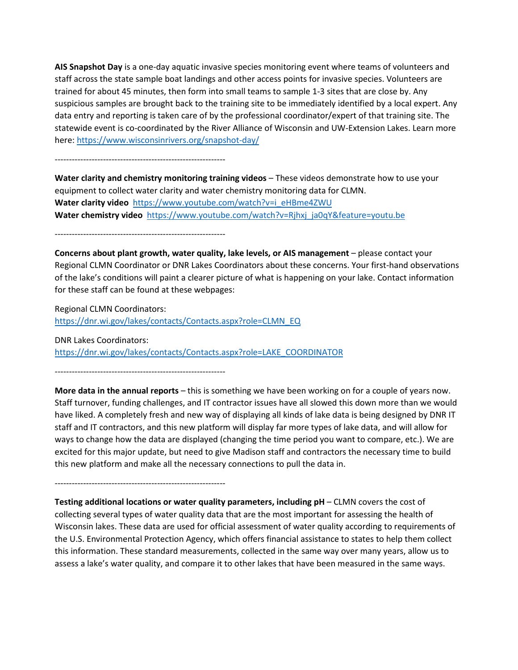**AIS Snapshot Day** is a one-day aquatic invasive species monitoring event where teams of volunteers and staff across the state sample boat landings and other access points for invasive species. Volunteers are trained for about 45 minutes, then form into small teams to sample 1-3 sites that are close by. Any suspicious samples are brought back to the training site to be immediately identified by a local expert. Any data entry and reporting is taken care of by the professional coordinator/expert of that training site. The statewide event is co-coordinated by the River Alliance of Wisconsin and UW-Extension Lakes. Learn more here:<https://www.wisconsinrivers.org/snapshot-day/>

------------------------------------------------------------

**Water clarity and chemistry monitoring training videos** – These videos demonstrate how to use your equipment to collect water clarity and water chemistry monitoring data for CLMN. Water clarity video [https://www.youtube.com/watch?v=i\\_eHBme4ZWU](https://www.youtube.com/watch?v=i_eHBme4ZWU) **Water chemistry video** [https://www.youtube.com/watch?v=Rjhxj\\_ja0qY&feature=youtu.be](https://www.youtube.com/watch?v=Rjhxj_ja0qY&feature=youtu.be)

------------------------------------------------------------

**Concerns about plant growth, water quality, lake levels, or AIS management** – please contact your Regional CLMN Coordinator or DNR Lakes Coordinators about these concerns. Your first-hand observations of the lake's conditions will paint a clearer picture of what is happening on your lake. Contact information for these staff can be found at these webpages:

Regional CLMN Coordinators: [https://dnr.wi.gov/lakes/contacts/Contacts.aspx?role=CLMN\\_EQ](https://dnr.wi.gov/lakes/contacts/Contacts.aspx?role=CLMN_EQ)

DNR Lakes Coordinators: [https://dnr.wi.gov/lakes/contacts/Contacts.aspx?role=LAKE\\_COORDINATOR](https://dnr.wi.gov/lakes/contacts/Contacts.aspx?role=LAKE_COORDINATOR)

------------------------------------------------------------

**More data in the annual reports** – this is something we have been working on for a couple of years now. Staff turnover, funding challenges, and IT contractor issues have all slowed this down more than we would have liked. A completely fresh and new way of displaying all kinds of lake data is being designed by DNR IT staff and IT contractors, and this new platform will display far more types of lake data, and will allow for ways to change how the data are displayed (changing the time period you want to compare, etc.). We are excited for this major update, but need to give Madison staff and contractors the necessary time to build this new platform and make all the necessary connections to pull the data in.

------------------------------------------------------------

**Testing additional locations or water quality parameters, including pH** – CLMN covers the cost of collecting several types of water quality data that are the most important for assessing the health of Wisconsin lakes. These data are used for official assessment of water quality according to requirements of the U.S. Environmental Protection Agency, which offers financial assistance to states to help them collect this information. These standard measurements, collected in the same way over many years, allow us to assess a lake's water quality, and compare it to other lakes that have been measured in the same ways.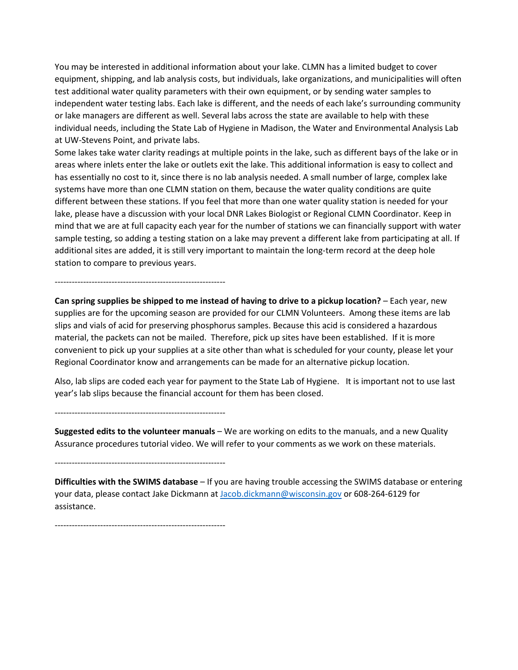You may be interested in additional information about your lake. CLMN has a limited budget to cover equipment, shipping, and lab analysis costs, but individuals, lake organizations, and municipalities will often test additional water quality parameters with their own equipment, or by sending water samples to independent water testing labs. Each lake is different, and the needs of each lake's surrounding community or lake managers are different as well. Several labs across the state are available to help with these individual needs, including the State Lab of Hygiene in Madison, the Water and Environmental Analysis Lab at UW-Stevens Point, and private labs.

Some lakes take water clarity readings at multiple points in the lake, such as different bays of the lake or in areas where inlets enter the lake or outlets exit the lake. This additional information is easy to collect and has essentially no cost to it, since there is no lab analysis needed. A small number of large, complex lake systems have more than one CLMN station on them, because the water quality conditions are quite different between these stations. If you feel that more than one water quality station is needed for your lake, please have a discussion with your local DNR Lakes Biologist or Regional CLMN Coordinator. Keep in mind that we are at full capacity each year for the number of stations we can financially support with water sample testing, so adding a testing station on a lake may prevent a different lake from participating at all. If additional sites are added, it is still very important to maintain the long-term record at the deep hole station to compare to previous years.

------------------------------------------------------------ **Can spring supplies be shipped to me instead of having to drive to a pickup location?** – Each year, new supplies are for the upcoming season are provided for our CLMN Volunteers. Among these items are lab slips and vials of acid for preserving phosphorus samples. Because this acid is considered a hazardous material, the packets can not be mailed. Therefore, pick up sites have been established. If it is more convenient to pick up your supplies at a site other than what is scheduled for your county, please let your

Regional Coordinator know and arrangements can be made for an alternative pickup location.

Also, lab slips are coded each year for payment to the State Lab of Hygiene. It is important not to use last year's lab slips because the financial account for them has been closed.

**Suggested edits to the volunteer manuals** – We are working on edits to the manuals, and a new Quality Assurance procedures tutorial video. We will refer to your comments as we work on these materials.

------------------------------------------------------------

------------------------------------------------------------

**Difficulties with the SWIMS database** – If you are having trouble accessing the SWIMS database or entering your data, please contact Jake Dickmann a[t Jacob.dickmann@wisconsin.gov](mailto:Jacob.dickmann@wisconsin.gov) or 608-264-6129 for assistance.

------------------------------------------------------------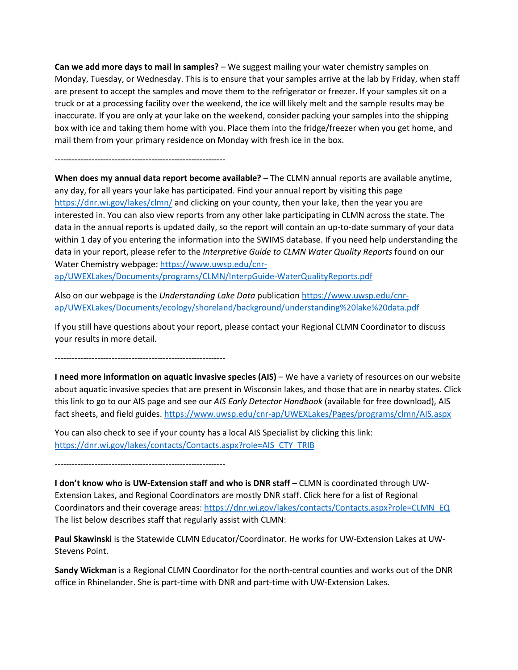**Can we add more days to mail in samples?** – We suggest mailing your water chemistry samples on Monday, Tuesday, or Wednesday. This is to ensure that your samples arrive at the lab by Friday, when staff are present to accept the samples and move them to the refrigerator or freezer. If your samples sit on a truck or at a processing facility over the weekend, the ice will likely melt and the sample results may be inaccurate. If you are only at your lake on the weekend, consider packing your samples into the shipping box with ice and taking them home with you. Place them into the fridge/freezer when you get home, and mail them from your primary residence on Monday with fresh ice in the box.

------------------------------------------------------------

**When does my annual data report become available?** – The CLMN annual reports are available anytime, any day, for all years your lake has participated. Find your annual report by visiting this page <https://dnr.wi.gov/lakes/clmn/> and clicking on your county, then your lake, then the year you are interested in. You can also view reports from any other lake participating in CLMN across the state. The data in the annual reports is updated daily, so the report will contain an up-to-date summary of your data within 1 day of you entering the information into the SWIMS database. If you need help understanding the data in your report, please refer to the *Interpretive Guide to CLMN Water Quality Reports* found on our Water Chemistry webpage: [https://www.uwsp.edu/cnr-](https://www.uwsp.edu/cnr-ap/UWEXLakes/Documents/programs/CLMN/InterpGuide-WaterQualityReports.pdf)

[ap/UWEXLakes/Documents/programs/CLMN/InterpGuide-WaterQualityReports.pdf](https://www.uwsp.edu/cnr-ap/UWEXLakes/Documents/programs/CLMN/InterpGuide-WaterQualityReports.pdf)

Also on our webpage is the *Understanding Lake Data* publication [https://www.uwsp.edu/cnr](https://www.uwsp.edu/cnr-ap/UWEXLakes/Documents/ecology/shoreland/background/understanding%20lake%20data.pdf)[ap/UWEXLakes/Documents/ecology/shoreland/background/understanding%20lake%20data.pdf](https://www.uwsp.edu/cnr-ap/UWEXLakes/Documents/ecology/shoreland/background/understanding%20lake%20data.pdf)

If you still have questions about your report, please contact your Regional CLMN Coordinator to discuss your results in more detail.

------------------------------------------------------------

**I need more information on aquatic invasive species (AIS)** – We have a variety of resources on our website about aquatic invasive species that are present in Wisconsin lakes, and those that are in nearby states. Click this link to go to our AIS page and see our *AIS Early Detector Handbook* (available for free download), AIS fact sheets, and field guides.<https://www.uwsp.edu/cnr-ap/UWEXLakes/Pages/programs/clmn/AIS.aspx>

You can also check to see if your county has a local AIS Specialist by clicking this link: [https://dnr.wi.gov/lakes/contacts/Contacts.aspx?role=AIS\\_CTY\\_TRIB](https://dnr.wi.gov/lakes/contacts/Contacts.aspx?role=AIS_CTY_TRIB)

------------------------------------------------------------

**I don't know who is UW-Extension staff and who is DNR staff** – CLMN is coordinated through UW-Extension Lakes, and Regional Coordinators are mostly DNR staff. Click here for a list of Regional Coordinators and their coverage areas: [https://dnr.wi.gov/lakes/contacts/Contacts.aspx?role=CLMN\\_EQ](https://dnr.wi.gov/lakes/contacts/Contacts.aspx?role=CLMN_EQ) The list below describes staff that regularly assist with CLMN:

**Paul Skawinski** is the Statewide CLMN Educator/Coordinator. He works for UW-Extension Lakes at UW-Stevens Point.

**Sandy Wickman** is a Regional CLMN Coordinator for the north-central counties and works out of the DNR office in Rhinelander. She is part-time with DNR and part-time with UW-Extension Lakes.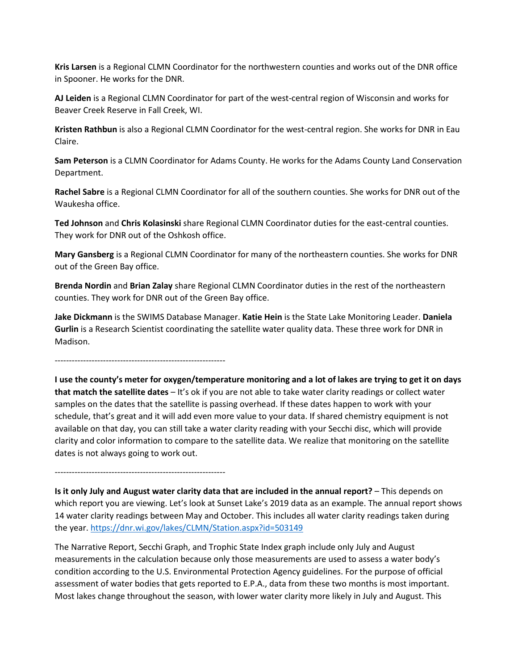**Kris Larsen** is a Regional CLMN Coordinator for the northwestern counties and works out of the DNR office in Spooner. He works for the DNR.

**AJ Leiden** is a Regional CLMN Coordinator for part of the west-central region of Wisconsin and works for Beaver Creek Reserve in Fall Creek, WI.

**Kristen Rathbun** is also a Regional CLMN Coordinator for the west-central region. She works for DNR in Eau Claire.

**Sam Peterson** is a CLMN Coordinator for Adams County. He works for the Adams County Land Conservation Department.

**Rachel Sabre** is a Regional CLMN Coordinator for all of the southern counties. She works for DNR out of the Waukesha office.

**Ted Johnson** and **Chris Kolasinski** share Regional CLMN Coordinator duties for the east-central counties. They work for DNR out of the Oshkosh office.

**Mary Gansberg** is a Regional CLMN Coordinator for many of the northeastern counties. She works for DNR out of the Green Bay office.

**Brenda Nordin** and **Brian Zalay** share Regional CLMN Coordinator duties in the rest of the northeastern counties. They work for DNR out of the Green Bay office.

**Jake Dickmann** is the SWIMS Database Manager. **Katie Hein** is the State Lake Monitoring Leader. **Daniela Gurlin** is a Research Scientist coordinating the satellite water quality data. These three work for DNR in Madison.

------------------------------------------------------------

**I use the county's meter for oxygen/temperature monitoring and a lot of lakes are trying to get it on days that match the satellite dates** – It's ok if you are not able to take water clarity readings or collect water samples on the dates that the satellite is passing overhead. If these dates happen to work with your schedule, that's great and it will add even more value to your data. If shared chemistry equipment is not available on that day, you can still take a water clarity reading with your Secchi disc, which will provide clarity and color information to compare to the satellite data. We realize that monitoring on the satellite dates is not always going to work out.

------------------------------------------------------------

**Is it only July and August water clarity data that are included in the annual report?** – This depends on which report you are viewing. Let's look at Sunset Lake's 2019 data as an example. The annual report shows 14 water clarity readings between May and October. This includes all water clarity readings taken during the year.<https://dnr.wi.gov/lakes/CLMN/Station.aspx?id=503149>

The Narrative Report, Secchi Graph, and Trophic State Index graph include only July and August measurements in the calculation because only those measurements are used to assess a water body's condition according to the U.S. Environmental Protection Agency guidelines. For the purpose of official assessment of water bodies that gets reported to E.P.A., data from these two months is most important. Most lakes change throughout the season, with lower water clarity more likely in July and August. This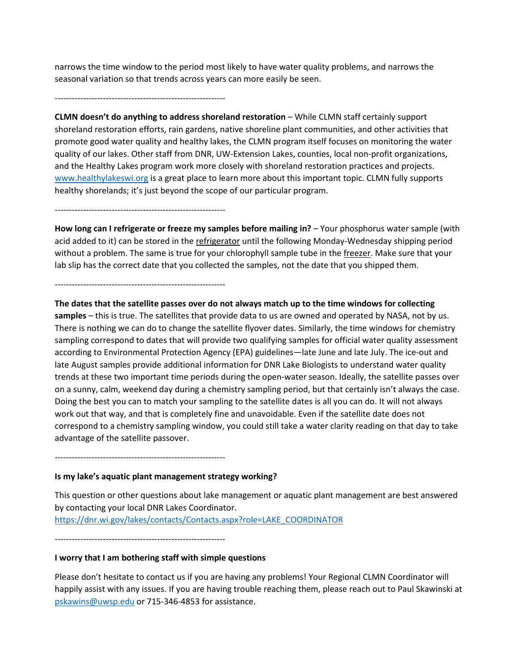narrows the time window to the period most likely to have water quality problems, and narrows the seasonal variation so that trends across years can more easily be seen.

------------------------------------------------------------

**CLMN doesn't do anything to address shoreland restoration** – While CLMN staff certainly support shoreland restoration efforts, rain gardens, native shoreline plant communities, and other activities that promote good water quality and healthy lakes, the CLMN program itself focuses on monitoring the water quality of our lakes. Other staff from DNR, UW-Extension Lakes, counties, local non-profit organizations, and the Healthy Lakes program work more closely with shoreland restoration practices and projects. [www.healthylakeswi.org](http://www.healthylakeswi.org/) is a great place to learn more about this important topic. CLMN fully supports healthy shorelands; it's just beyond the scope of our particular program.

------------------------------------------------------------

**How long can I refrigerate or freeze my samples before mailing in?** – Your phosphorus water sample (with acid added to it) can be stored in the refrigerator until the following Monday-Wednesday shipping period without a problem. The same is true for your chlorophyll sample tube in the freezer. Make sure that your lab slip has the correct date that you collected the samples, not the date that you shipped them.

------------------------------------------------------------

**The dates that the satellite passes over do not always match up to the time windows for collecting** 

**samples** – this is true. The satellites that provide data to us are owned and operated by NASA, not by us. There is nothing we can do to change the satellite flyover dates. Similarly, the time windows for chemistry sampling correspond to dates that will provide two qualifying samples for official water quality assessment according to Environmental Protection Agency (EPA) guidelines—late June and late July. The ice-out and late August samples provide additional information for DNR Lake Biologists to understand water quality trends at these two important time periods during the open-water season. Ideally, the satellite passes over on a sunny, calm, weekend day during a chemistry sampling period, but that certainly isn't always the case. Doing the best you can to match your sampling to the satellite dates is all you can do. It will not always work out that way, and that is completely fine and unavoidable. Even if the satellite date does not correspond to a chemistry sampling window, you could still take a water clarity reading on that day to take advantage of the satellite passover.

------------------------------------------------------------

### **Is my lake's aquatic plant management strategy working?**

This question or other questions about lake management or aquatic plant management are best answered by contacting your local DNR Lakes Coordinator. [https://dnr.wi.gov/lakes/contacts/Contacts.aspx?role=LAKE\\_COORDINATOR](https://dnr.wi.gov/lakes/contacts/Contacts.aspx?role=LAKE_COORDINATOR)

------------------------------------------------------------

### **I worry that I am bothering staff with simple questions**

Please don't hesitate to contact us if you are having any problems! Your Regional CLMN Coordinator will happily assist with any issues. If you are having trouble reaching them, please reach out to Paul Skawinski at [pskawins@uwsp.edu](mailto:pskawins@uwsp.edu) or 715-346-4853 for assistance.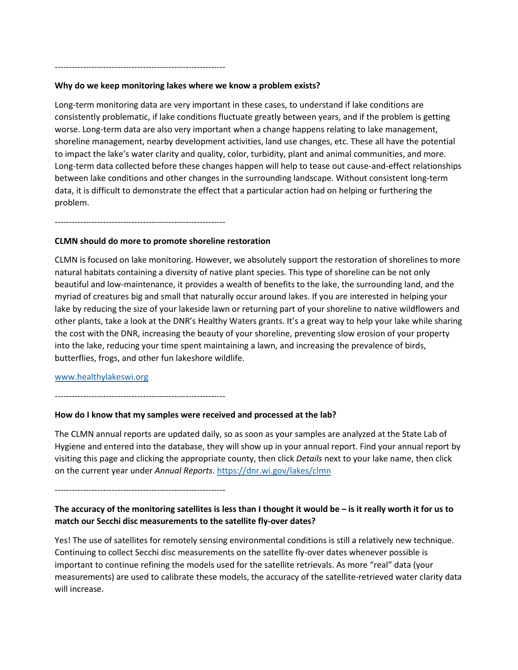## **Why do we keep monitoring lakes where we know a problem exists?**

Long-term monitoring data are very important in these cases, to understand if lake conditions are consistently problematic, if lake conditions fluctuate greatly between years, and if the problem is getting worse. Long-term data are also very important when a change happens relating to lake management, shoreline management, nearby development activities, land use changes, etc. These all have the potential to impact the lake's water clarity and quality, color, turbidity, plant and animal communities, and more. Long-term data collected before these changes happen will help to tease out cause-and-effect relationships between lake conditions and other changes in the surrounding landscape. Without consistent long-term data, it is difficult to demonstrate the effect that a particular action had on helping or furthering the problem.

------------------------------------------------------------

------------------------------------------------------------

### **CLMN should do more to promote shoreline restoration**

CLMN is focused on lake monitoring. However, we absolutely support the restoration of shorelines to more natural habitats containing a diversity of native plant species. This type of shoreline can be not only beautiful and low-maintenance, it provides a wealth of benefits to the lake, the surrounding land, and the myriad of creatures big and small that naturally occur around lakes. If you are interested in helping your lake by reducing the size of your lakeside lawn or returning part of your shoreline to native wildflowers and other plants, take a look at the DNR's Healthy Waters grants. It's a great way to help your lake while sharing the cost with the DNR, increasing the beauty of your shoreline, preventing slow erosion of your property into the lake, reducing your time spent maintaining a lawn, and increasing the prevalence of birds, butterflies, frogs, and other fun lakeshore wildlife.

### [www.healthylakeswi.org](http://www.healthylakeswi.org/)

------------------------------------------------------------

#### **How do I know that my samples were received and processed at the lab?**

The CLMN annual reports are updated daily, so as soon as your samples are analyzed at the State Lab of Hygiene and entered into the database, they will show up in your annual report. Find your annual report by visiting this page and clicking the appropriate county, then click *Details* next to your lake name, then click on the current year under *Annual Reports*[. https://dnr.wi.gov/lakes/clmn](https://dnr.wi.gov/lakes/clmn)

------------------------------------------------------------

## **The accuracy of the monitoring satellites is less than I thought it would be – is it really worth it for us to match our Secchi disc measurements to the satellite fly-over dates?**

Yes! The use of satellites for remotely sensing environmental conditions is still a relatively new technique. Continuing to collect Secchi disc measurements on the satellite fly-over dates whenever possible is important to continue refining the models used for the satellite retrievals. As more "real" data (your measurements) are used to calibrate these models, the accuracy of the satellite-retrieved water clarity data will increase.